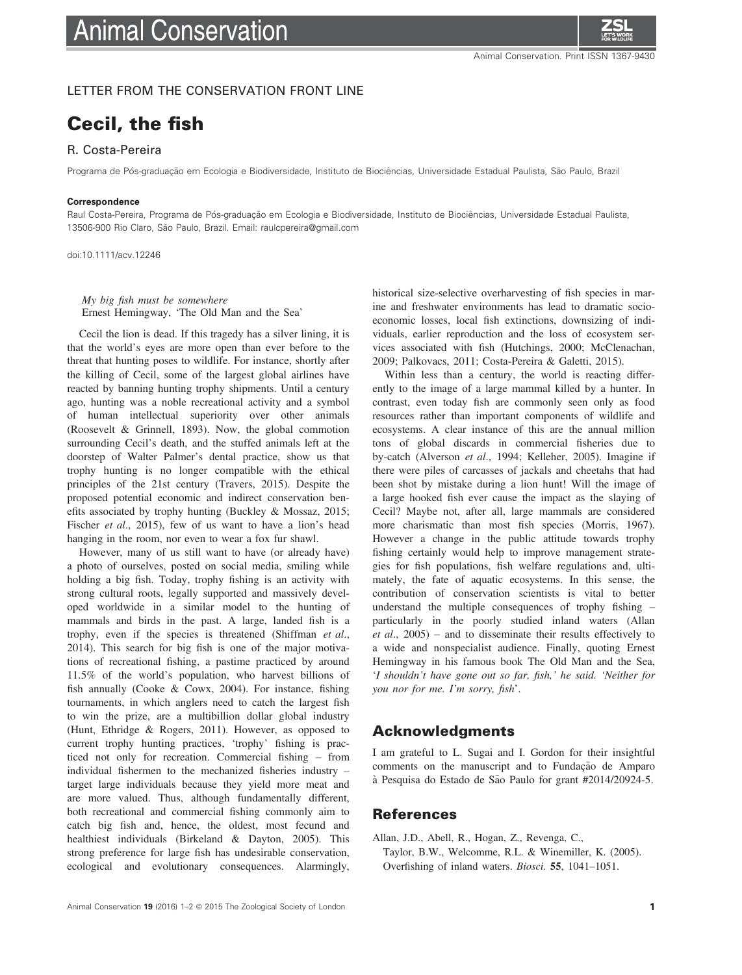

### LETTER FROM THE CONSERVATION FRONT LINE

# Cecil, the fish

## R. Costa-Pereira

Programa de Pós-graduação em Ecologia e Biodiversidade, Instituto de Biociências, Universidade Estadual Paulista, São Paulo, Brazil

#### **Correspondence**

Raul Costa-Pereira, Programa de Pós-graduação em Ecologia e Biodiversidade, Instituto de Biociências, Universidade Estadual Paulista, 13506-900 Rio Claro, São Paulo, Brazil. Email: raulcpereira@gmail.com

doi:10.1111/acv.12246

My big fish must be somewhere Ernest Hemingway, 'The Old Man and the Sea'

Cecil the lion is dead. If this tragedy has a silver lining, it is that the world's eyes are more open than ever before to the threat that hunting poses to wildlife. For instance, shortly after the killing of Cecil, some of the largest global airlines have reacted by banning hunting trophy shipments. Until a century ago, hunting was a noble recreational activity and a symbol of human intellectual superiority over other animals (Roosevelt & Grinnell, 1893). Now, the global commotion surrounding Cecil's death, and the stuffed animals left at the doorstep of Walter Palmer's dental practice, show us that trophy hunting is no longer compatible with the ethical principles of the 21st century (Travers, 2015). Despite the proposed potential economic and indirect conservation benefits associated by trophy hunting (Buckley & Mossaz, 2015; Fischer et al., 2015), few of us want to have a lion's head hanging in the room, nor even to wear a fox fur shawl.

However, many of us still want to have (or already have) a photo of ourselves, posted on social media, smiling while holding a big fish. Today, trophy fishing is an activity with strong cultural roots, legally supported and massively developed worldwide in a similar model to the hunting of mammals and birds in the past. A large, landed fish is a trophy, even if the species is threatened (Shiffman et al., 2014). This search for big fish is one of the major motivations of recreational fishing, a pastime practiced by around 11.5% of the world's population, who harvest billions of fish annually (Cooke & Cowx, 2004). For instance, fishing tournaments, in which anglers need to catch the largest fish to win the prize, are a multibillion dollar global industry (Hunt, Ethridge & Rogers, 2011). However, as opposed to current trophy hunting practices, 'trophy' fishing is practiced not only for recreation. Commercial fishing – from individual fishermen to the mechanized fisheries industry – target large individuals because they yield more meat and are more valued. Thus, although fundamentally different, both recreational and commercial fishing commonly aim to catch big fish and, hence, the oldest, most fecund and healthiest individuals (Birkeland & Dayton, 2005). This strong preference for large fish has undesirable conservation, ecological and evolutionary consequences. Alarmingly,

historical size-selective overharvesting of fish species in marine and freshwater environments has lead to dramatic socioeconomic losses, local fish extinctions, downsizing of individuals, earlier reproduction and the loss of ecosystem services associated with fish (Hutchings, 2000; McClenachan, 2009; Palkovacs, 2011; Costa-Pereira & Galetti, 2015).

Within less than a century, the world is reacting differently to the image of a large mammal killed by a hunter. In contrast, even today fish are commonly seen only as food resources rather than important components of wildlife and ecosystems. A clear instance of this are the annual million tons of global discards in commercial fisheries due to by-catch (Alverson et al., 1994; Kelleher, 2005). Imagine if there were piles of carcasses of jackals and cheetahs that had been shot by mistake during a lion hunt! Will the image of a large hooked fish ever cause the impact as the slaying of Cecil? Maybe not, after all, large mammals are considered more charismatic than most fish species (Morris, 1967). However a change in the public attitude towards trophy fishing certainly would help to improve management strategies for fish populations, fish welfare regulations and, ultimately, the fate of aquatic ecosystems. In this sense, the contribution of conservation scientists is vital to better understand the multiple consequences of trophy fishing – particularly in the poorly studied inland waters (Allan *et al.*,  $2005$  – and to disseminate their results effectively to a wide and nonspecialist audience. Finally, quoting Ernest Hemingway in his famous book The Old Man and the Sea, 'I shouldn't have gone out so far, fish,' he said. 'Neither for you nor for me. I'm sorry, fish'.

## Acknowledgments

I am grateful to L. Sugai and I. Gordon for their insightful comments on the manuscript and to Fundação de Amparo à Pesquisa do Estado de São Paulo for grant #2014/20924-5.

## References

Allan, J.D., Abell, R., Hogan, Z., Revenga, C., Taylor, B.W., Welcomme, R.L. & Winemiller, K. (2005). Overfishing of inland waters. Biosci. 55, 1041–1051.